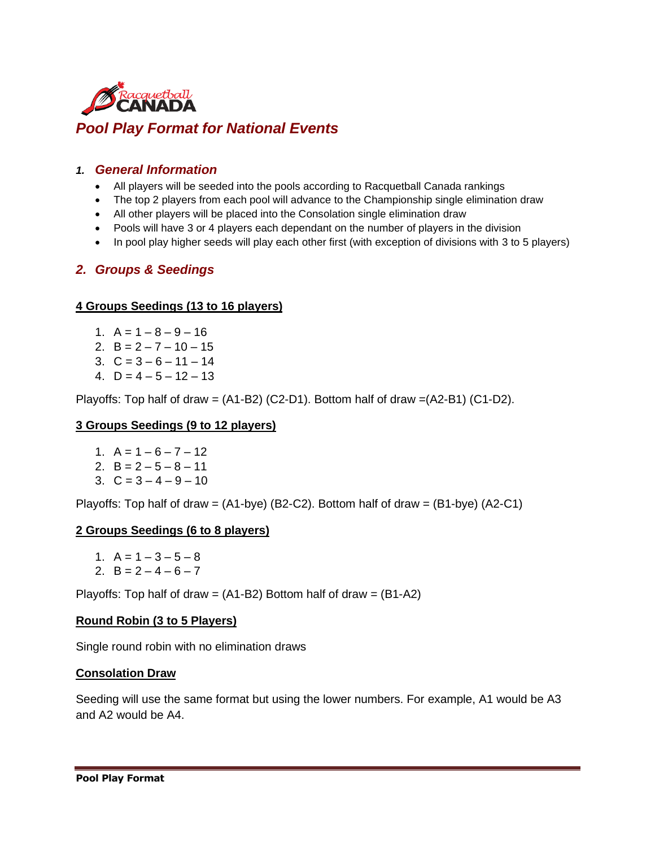

# *1. General Information*

- All players will be seeded into the pools according to Racquetball Canada rankings
- The top 2 players from each pool will advance to the Championship single elimination draw
- All other players will be placed into the Consolation single elimination draw
- Pools will have 3 or 4 players each dependant on the number of players in the division
- In pool play higher seeds will play each other first (with exception of divisions with 3 to 5 players)

## *2. Groups & Seedings*

### **4 Groups Seedings (13 to 16 players)**

- 1.  $A = 1 8 9 16$
- 2.  $B = 2 7 10 15$
- 3.  $C = 3 6 11 14$
- 4. D = 4 5 12 13

Playoffs: Top half of draw = (A1-B2) (C2-D1). Bottom half of draw =(A2-B1) (C1-D2).

### **3 Groups Seedings (9 to 12 players)**

- 1.  $A = 1 6 7 12$
- 2.  $B = 2 5 8 11$
- 3.  $C = 3 4 9 10$

Playoffs: Top half of draw =  $(A1-bye)$  (B2-C2). Bottom half of draw =  $(B1-bye)$  (A2-C1)

### **2 Groups Seedings (6 to 8 players)**

- 1.  $A = 1 3 5 8$
- 2.  $B = 2 4 6 7$

Playoffs: Top half of draw =  $(A1-B2)$  Bottom half of draw =  $(B1-A2)$ 

#### **Round Robin (3 to 5 Players)**

Single round robin with no elimination draws

#### **Consolation Draw**

Seeding will use the same format but using the lower numbers. For example, A1 would be A3 and A2 would be A4.